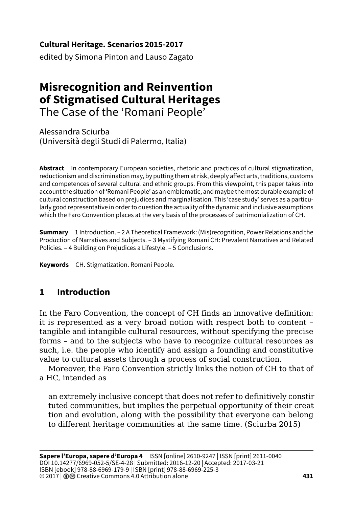**Cultural Heritage. Scenarios 2015-2017**

edited by Simona Pinton and Lauso Zagato

# **Misrecognition and Reinvention of Stigmatised Cultural Heritages** The Case of the 'Romani People'

Alessandra Sciurba (Università degli Studi di Palermo, Italia)

**Abstract** In contemporary European societies, rhetoric and practices of cultural stigmatization, reductionism and discrimination may, by putting them at risk, deeply affect arts, traditions, customs and competences of several cultural and ethnic groups. From this viewpoint, this paper takes into account the situation of 'Romani People' as an emblematic, and maybe the most durable example of cultural construction based on prejudices and marginalisation. This 'case study' serves as a particularly good representative in order to question the actuality of the dynamic and inclusive assumptions which the Faro Convention places at the very basis of the processes of patrimonialization of CH.

**Summary** 1 Introduction. – 2 A Theoretical Framework: (Mis)recognition, Power Relations and the Production of Narratives and Subjects. – 3 Mystifying Romani CH: Prevalent Narratives and Related Policies. – 4 Building on Prejudices a Lifestyle. – 5 Conclusions.

**Keywords** CH. Stigmatization. Romani People.

## **1 Introduction**

In the Faro Convention, the concept of CH finds an innovative definition: it is represented as a very broad notion with respect both to content – tangible and intangible cultural resources, without specifying the precise forms – and to the subjects who have to recognize cultural resources as such, i.e. the people who identify and assign a founding and constitutive value to cultural assets through a process of social construction.

Moreover, the Faro Convention strictly links the notion of CH to that of a HC, intended as

an extremely inclusive concept that does not refer to definitively constirtuted communities, but implies the perpetual opportunity of their creattion and evolution, along with the possibility that everyone can belong to different heritage communities at the same time. (Sciurba 2015)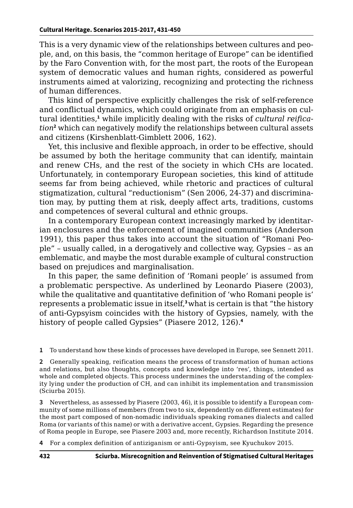This is a very dynamic view of the relationships between cultures and people, and, on this basis, the "common heritage of Europe" can be identified by the Faro Convention with, for the most part, the roots of the European system of democratic values and human rights, considered as powerful instruments aimed at valorizing, recognizing and protecting the richness of human differences.

This kind of perspective explicitly challenges the risk of self-reference and conflictual dynamics, which could originate from an emphasis on cultural identities,**<sup>1</sup>** while implicitly dealing with the risks of *cultural reification***<sup>2</sup>** which can negatively modify the relationships between cultural assets and citizens (Kirshenblatt-Gimblett 2006, 162).

Yet, this inclusive and flexible approach, in order to be effective, should be assumed by both the heritage community that can identify, maintain and renew CHs, and the rest of the society in which CHs are located. Unfortunately, in contemporary European societies, this kind of attitude seems far from being achieved, while rhetoric and practices of cultural stigmatization, cultural "reductionism" (Sen 2006, 24-37) and discrimination may, by putting them at risk, deeply affect arts, traditions, customs and competences of several cultural and ethnic groups.

In a contemporary European context increasingly marked by identitarian enclosures and the enforcement of imagined communities (Anderson 1991), this paper thus takes into account the situation of "Romani People" – usually called, in a derogatively and collective way, Gypsies – as an emblematic, and maybe the most durable example of cultural construction based on prejudices and marginalisation.

In this paper, the same definition of 'Romani people' is assumed from a problematic perspective. As underlined by Leonardo Piasere (2003), while the qualitative and quantitative definition of 'who Romani people is' represents a problematic issue in itself,**<sup>3</sup>**what is certain is that "the history of anti-Gypsyism coincides with the history of Gypsies, namely, with the history of people called Gypsies" (Piasere 2012, 126).**<sup>4</sup>**

**1** To understand how these kinds of processes have developed in Europe, see Sennett 2011.

**2** Generally speaking, reification means the process of transformation of human actions and relations, but also thoughts, concepts and knowledge into 'res', things, intended as whole and completed objects. This process undermines the understanding of the complexity lying under the production of CH, and can inhibit its implementation and transmission (Sciurba 2015).

**3** Nevertheless, as assessed by Piasere (2003, 46), it is possible to identify a European community of some millions of members (from two to six, dependently on different estimates) for the most part composed of non-nomadic individuals speaking romanes dialects and called Roma (or variants of this name) or with a derivative accent, Gypsies. Regarding the presence of Roma people in Europe, see Piasere 2003 and, more recently, Richardson Institute 2014.

**4** For a complex definition of antiziganism or anti-Gypsyism, see Kyuchukov 2015.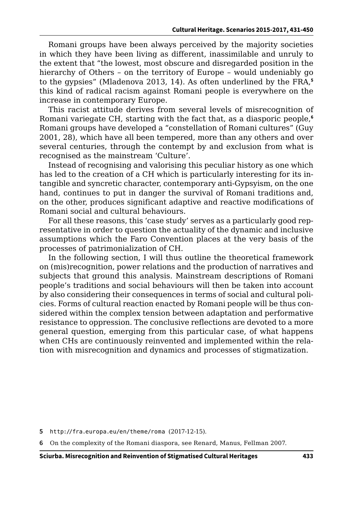Romani groups have been always perceived by the majority societies in which they have been living as different, inassimilable and unruly to the extent that "the lowest, most obscure and disregarded position in the hierarchy of Others – on the territory of Europe – would undeniably go to the gypsies" (Mladenova 2013, 14). As often underlined by the FRA,**<sup>5</sup>** this kind of radical racism against Romani people is everywhere on the increase in contemporary Europe.

This racist attitude derives from several levels of misrecognition of Romani variegate CH, starting with the fact that, as a diasporic people,**<sup>6</sup>** Romani groups have developed a "constellation of Romani cultures" (Guy 2001, 28), which have all been tempered, more than any others and over several centuries, through the contempt by and exclusion from what is recognised as the mainstream 'Culture'.

Instead of recognising and valorising this peculiar history as one which has led to the creation of a CH which is particularly interesting for its intangible and syncretic character, contemporary anti-Gypsyism, on the one hand, continues to put in danger the survival of Romani traditions and, on the other, produces significant adaptive and reactive modifications of Romani social and cultural behaviours.

For all these reasons, this 'case study' serves as a particularly good representative in order to question the actuality of the dynamic and inclusive assumptions which the Faro Convention places at the very basis of the processes of patrimonialization of CH.

In the following section, I will thus outline the theoretical framework on (mis)recognition, power relations and the production of narratives and subjects that ground this analysis. Mainstream descriptions of Romani people's traditions and social behaviours will then be taken into account by also considering their consequences in terms of social and cultural policies. Forms of cultural reaction enacted by Romani people will be thus considered within the complex tension between adaptation and performative resistance to oppression. The conclusive reflections are devoted to a more general question, emerging from this particular case, of what happens when CHs are continuously reinvented and implemented within the relation with misrecognition and dynamics and processes of stigmatization.

**6** On the complexity of the Romani diaspora, see Renard, Manus, Fellman 2007.

**Sciurba. Misrecognition and Reinvention of Stigmatised Cultural Heritages 433**

**<sup>5</sup>** <http://fra.europa.eu/en/theme/roma> (2017-12-15).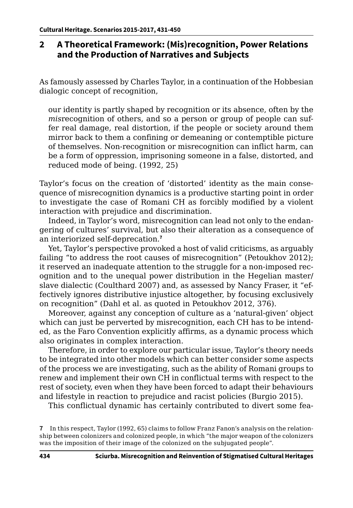#### **2 A Theoretical Framework: (Mis)recognition, Power Relations and the Production of Narratives and Subjects**

As famously assessed by Charles Taylor, in a continuation of the Hobbesian dialogic concept of recognition.

our identity is partly shaped by recognition or its absence, often by the *mis*recognition of others, and so a person or group of people can suffer real damage, real distortion, if the people or society around them mirror back to them a confining or demeaning or contemptible picture of themselves. Non-recognition or misrecognition can inflict harm, can be a form of oppression, imprisoning someone in a false, distorted, and reduced mode of being. (1992, 25)

Taylor's focus on the creation of 'distorted' identity as the main consequence of misrecognition dynamics is a productive starting point in order to investigate the case of Romani CH as forcibly modified by a violent interaction with prejudice and discrimination.

Indeed, in Taylor's word, misrecognition can lead not only to the endangering of cultures' survival, but also their alteration as a consequence of an interiorized self-deprecation.**<sup>7</sup>**

Yet, Taylor's perspective provoked a host of valid criticisms, as arguably failing "to address the root causes of misrecognition" (Petoukhov 2012); it reserved an inadequate attention to the struggle for a non-imposed recognition and to the unequal power distribution in the Hegelian master/ slave dialectic (Coulthard 2007) and, as assessed by Nancy Fraser, it "effectively ignores distributive injustice altogether, by focusing exclusively on recognition" (Dahl et al. as quoted in Petoukhov 2012, 376).

Moreover, against any conception of culture as a 'natural-given' object which can just be perverted by misrecognition, each CH has to be intended, as the Faro Convention explicitly affirms, as a dynamic process which also originates in complex interaction.

Therefore, in order to explore our particular issue, Taylor's theory needs to be integrated into other models which can better consider some aspects of the process we are investigating, such as the ability of Romani groups to renew and implement their own CH in conflictual terms with respect to the rest of society, even when they have been forced to adapt their behaviours and lifestyle in reaction to prejudice and racist policies (Burgio 2015).

This conflictual dynamic has certainly contributed to divert some fea-

**<sup>7</sup>** In this respect, Taylor (1992, 65) claims to follow Franz Fanon's analysis on the relationship between colonizers and colonized people, in which "the major weapon of the colonizers was the imposition of their image of the colonized on the subjugated people".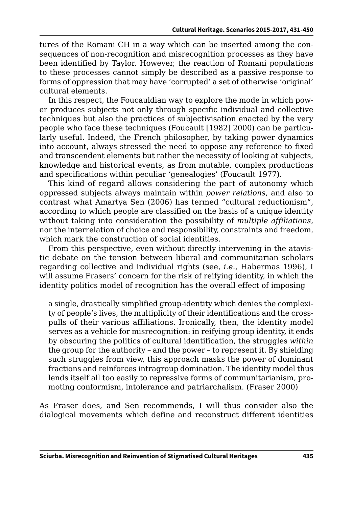tures of the Romani CH in a way which can be inserted among the consequences of non-recognition and misrecognition processes as they have been identified by Taylor. However, the reaction of Romani populations to these processes cannot simply be described as a passive response to forms of oppression that may have 'corrupted' a set of otherwise 'original' cultural elements.

In this respect, the Foucauldian way to explore the mode in which power produces subjects not only through specific individual and collective techniques but also the practices of subjectivisation enacted by the very people who face these techniques (Foucault [1982] 2000) can be particularly useful. Indeed, the French philosopher, by taking power dynamics into account, always stressed the need to oppose any reference to fixed and transcendent elements but rather the necessity of looking at subjects, knowledge and historical events, as from mutable, complex productions and specifications within peculiar 'genealogies' (Foucault 1977).

This kind of regard allows considering the part of autonomy which oppressed subjects always maintain within *power relations*, and also to contrast what Amartya Sen (2006) has termed "cultural reductionism", according to which people are classified on the basis of a unique identity without taking into consideration the possibility of *multiple affiliations*, nor the interrelation of choice and responsibility, constraints and freedom, which mark the construction of social identities.

From this perspective, even without directly intervening in the atavistic debate on the tension between liberal and communitarian scholars regarding collective and individual rights (see, *i.e.*, Habermas 1996), I will assume Frasers' concern for the risk of reifying identity, in which the identity politics model of recognition has the overall effect of imposing

a single, drastically simplified group-identity which denies the complexity of people's lives, the multiplicity of their identifications and the crosspulls of their various affiliations. Ironically, then, the identity model serves as a vehicle for misrecognition: in reifying group identity, it ends by obscuring the politics of cultural identification, the struggles *within* the group for the authority – and the power – to represent it. By shielding such struggles from view, this approach masks the power of dominant fractions and reinforces intragroup domination. The identity model thus lends itself all too easily to repressive forms of communitarianism, promoting conformism, intolerance and patriarchalism. (Fraser 2000)

As Fraser does, and Sen recommends, I will thus consider also the dialogical movements which define and reconstruct different identities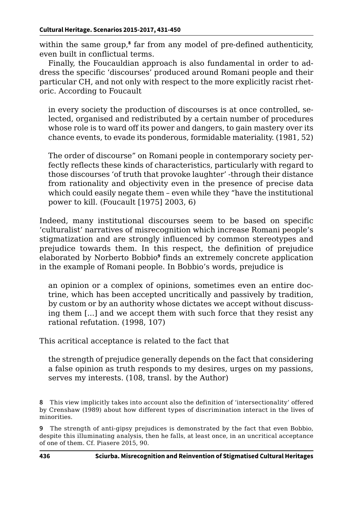within the same group,**<sup>8</sup>** far from any model of pre-defined authenticity, even built in conflictual terms.

Finally, the Foucauldian approach is also fundamental in order to address the specific 'discourses' produced around Romani people and their particular CH, and not only with respect to the more explicitly racist rhetoric. According to Foucault

in every society the production of discourses is at once controlled, selected, organised and redistributed by a certain number of procedures whose role is to ward off its power and dangers, to gain mastery over its chance events, to evade its ponderous, formidable materiality. (1981, 52)

The order of discourse" on Romani people in contemporary society perfectly reflects these kinds of characteristics, particularly with regard to those discourses 'of truth that provoke laughter' -through their distance from rationality and objectivity even in the presence of precise data which could easily negate them – even while they "have the institutional power to kill. (Foucault [1975] 2003, 6)

Indeed, many institutional discourses seem to be based on specific 'culturalist' narratives of misrecognition which increase Romani people's stigmatization and are strongly influenced by common stereotypes and prejudice towards them. In this respect, the definition of prejudice elaborated by Norberto Bobbio**<sup>9</sup>** finds an extremely concrete application in the example of Romani people. In Bobbio's words, prejudice is

an opinion or a complex of opinions, sometimes even an entire doctrine, which has been accepted uncritically and passively by tradition, by custom or by an authority whose dictates we accept without discussing them [...] and we accept them with such force that they resist any rational refutation. (1998, 107)

This acritical acceptance is related to the fact that

the strength of prejudice generally depends on the fact that considering a false opinion as truth responds to my desires, urges on my passions, serves my interests. (108, transl. by the Author)

**9** The strength of anti-gipsy prejudices is demonstrated by the fact that even Bobbio, despite this illuminating analysis, then he falls, at least once, in an uncritical acceptance of one of them. Cf. Piasere 2015, 90.

**<sup>8</sup>** This view implicitly takes into account also the definition of 'intersectionality' offered by Crenshaw (1989) about how different types of discrimination interact in the lives of minorities.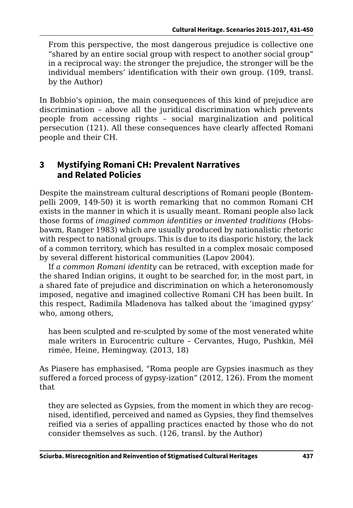From this perspective, the most dangerous prejudice is collective one "shared by an entire social group with respect to another social group" in a reciprocal way: the stronger the prejudice, the stronger will be the individual members' identification with their own group. (109, transl. by the Author)

In Bobbio's opinion, the main consequences of this kind of prejudice are discrimination – above all the juridical discrimination which prevents people from accessing rights – social marginalization and political persecution (121). All these consequences have clearly affected Romani people and their CH.

### **3 Mystifying Romani CH: Prevalent Narratives and Related Policies**

Despite the mainstream cultural descriptions of Romani people (Bontempelli 2009, 149-50) it is worth remarking that no common Romani CH exists in the manner in which it is usually meant. Romani people also lack those forms of *imagined common identities* or *invented traditions* (Hobsbawm, Ranger 1983) which are usually produced by nationalistic rhetoric with respect to national groups. This is due to its diasporic history, the lack of a common territory, which has resulted in a complex mosaic composed by several different historical communities (Lapov 2004).

If *a common Romani identity* can be retraced, with exception made for the shared Indian origins, it ought to be searched for, in the most part, in a shared fate of prejudice and discrimination on which a heteronomously imposed, negative and imagined collective Romani CH has been built. In this respect, Radimila Mladenova has talked about the 'imagined gypsy' who, among others,

has been sculpted and re-sculpted by some of the most venerated white male writers in Eurocentric culture - Cervantes, Hugo, Pushkin, Mél rimée, Heine, Hemingway. (2013, 18)

As Piasere has emphasised, "Roma people are Gypsies inasmuch as they suffered a forced process of gypsy-ization" (2012, 126). From the moment that

they are selected as Gypsies, from the moment in which they are recognised, identified, perceived and named as Gypsies, they find themselves reified via a series of appalling practices enacted by those who do not consider themselves as such. (126, transl. by the Author)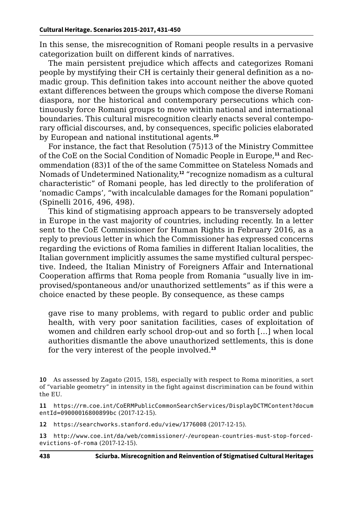In this sense, the misrecognition of Romani people results in a pervasive categorization built on different kinds of narratives.

The main persistent prejudice which affects and categorizes Romani people by mystifying their CH is certainly their general definition as a nomadic group. This definition takes into account neither the above quoted extant differences between the groups which compose the diverse Romani diaspora, nor the historical and contemporary persecutions which continuously force Romani groups to move within national and international boundaries. This cultural misrecognition clearly enacts several contemporary official discourses, and, by consequences, specific policies elaborated by European and national institutional agents.**<sup>10</sup>**

For instance, the fact that Resolution (75)13 of the Ministry Committee of the CoE on the Social Condition of Nomadic People in Europe,**11** and Recommendation (83)1 of the of the same Committee on Stateless Nomads and Nomads of Undetermined Nationality,**<sup>12</sup>** "recognize nomadism as a cultural characteristic" of Romani people, has led directly to the proliferation of 'nomadic Camps', "with incalculable damages for the Romani population" (Spinelli 2016, 496, 498).

This kind of stigmatising approach appears to be transversely adopted in Europe in the vast majority of countries, including recently. In a letter sent to the CoE Commissioner for Human Rights in February 2016, as a reply to previous letter in which the Commissioner has expressed concerns regarding the evictions of Roma families in different Italian localities, the Italian government implicitly assumes the same mystified cultural perspective. Indeed, the Italian Ministry of Foreigners Affair and International Cooperation affirms that Roma people from Romania "usually live in improvised/spontaneous and/or unauthorized settlements" as if this were a choice enacted by these people. By consequence, as these camps

gave rise to many problems, with regard to public order and public health, with very poor sanitation facilities, cases of exploitation of women and children early school drop-out and so forth […] when local authorities dismantle the above unauthorized settlements, this is done for the very interest of the people involved.**<sup>13</sup>**

**11** [https://rm.coe.int/CoERMPublicCommonSearchServices/DisplayDCTMContent?docum](https://rm.coe.int/CoERMPublicCommonSearchServices/DisplayDCTMContent?documentId=09000016800899bc) [entId=09000016800899bc](https://rm.coe.int/CoERMPublicCommonSearchServices/DisplayDCTMContent?documentId=09000016800899bc) (2017-12-15).

**12** <https://searchworks.stanford.edu/view/1776008> (2017-12-15).

**13** [http://www.coe.int/da/web/commissioner/-/european-countries-must-stop-forced](http://www.coe.int/da/web/commissioner/-/european-countries-must-stop-forced-evictions-of-roma)[evictions-of-roma](http://www.coe.int/da/web/commissioner/-/european-countries-must-stop-forced-evictions-of-roma) (2017-12-15).

**<sup>10</sup>** As assessed by Zagato (2015, 158), especially with respect to Roma minorities, a sort of "variable geometry" in intensity in the fight against discrimination can be found within the EU.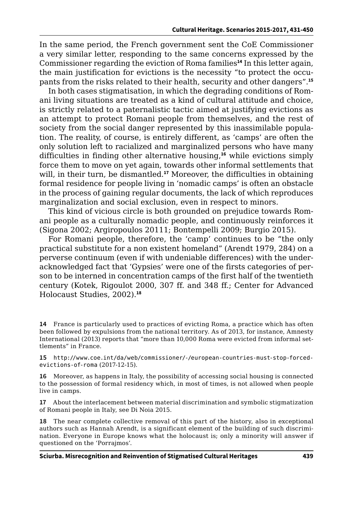In the same period, the French government sent the CoE Commissioner a very similar letter, responding to the same concerns expressed by the Commissioner regarding the eviction of Roma families**<sup>14</sup>** In this letter again, the main justification for evictions is the necessity "to protect the occupants from the risks related to their health, security and other dangers".**<sup>15</sup>**

In both cases stigmatisation, in which the degrading conditions of Romani living situations are treated as a kind of cultural attitude and choice, is strictly related to a paternalistic tactic aimed at justifying evictions as an attempt to protect Romani people from themselves, and the rest of society from the social danger represented by this inassimilable population. The reality, of course, is entirely different, as 'camps' are often the only solution left to racialized and marginalized persons who have many difficulties in finding other alternative housing,**<sup>16</sup>** while evictions simply force them to move on yet again, towards other informal settlements that will, in their turn, be dismantled.**<sup>17</sup>** Moreover, the difficulties in obtaining formal residence for people living in 'nomadic camps' is often an obstacle in the process of gaining regular documents, the lack of which reproduces marginalization and social exclusion, even in respect to minors.

This kind of vicious circle is both grounded on prejudice towards Romani people as a culturally nomadic people, and continuously reinforces it (Sigona 2002; Argiropoulos 20111; Bontempelli 2009; Burgio 2015).

For Romani people, therefore, the 'camp' continues to be "the only practical substitute for a non existent homeland" (Arendt 1979, 284) on a perverse continuum (even if with undeniable differences) with the underacknowledged fact that 'Gypsies' were one of the firsts categories of person to be interned in concentration camps of the first half of the twentieth century (Kotek, Rigoulot 2000, 307 ff. and 348 ff.; Center for Advanced Holocaust Studies, 2002).**<sup>18</sup>**

**14** France is particularly used to practices of evicting Roma, a practice which has often been followed by expulsions from the national territory. As of 2013, for instance, Amnesty International (2013) reports that "more than 10,000 Roma were evicted from informal settlements" in France.

**15** [http://www.coe.int/da/web/commissioner/-/european-countries-must-stop-forced](http://www.coe.int/da/web/commissioner/-/european-countries-must-stop-forced-evictions-of-roma)[evictions-of-roma](http://www.coe.int/da/web/commissioner/-/european-countries-must-stop-forced-evictions-of-roma) (2017-12-15).

**16** Moreover, as happens in Italy, the possibility of accessing social housing is connected to the possession of formal residency which, in most of times, is not allowed when people live in camps.

**17** About the interlacement between material discrimination and symbolic stigmatization of Romani people in Italy, see Di Noia 2015.

**18** The near complete collective removal of this part of the history, also in exceptional authors such as Hannah Arendt, is a significant element of the building of such discrimination. Everyone in Europe knows what the holocaust is; only a minority will answer if questioned on the 'Porrajmos'.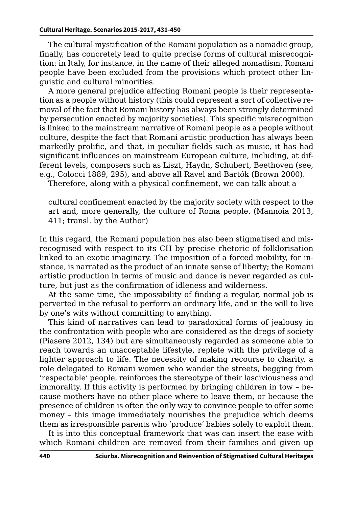The cultural mystification of the Romani population as a nomadic group, finally, has concretely lead to quite precise forms of cultural misrecognition: in Italy, for instance, in the name of their alleged nomadism, Romani people have been excluded from the provisions which protect other linguistic and cultural minorities.

A more general prejudice affecting Romani people is their representation as a people without history (this could represent a sort of collective removal of the fact that Romani history has always been strongly determined by persecution enacted by majority societies). This specific misrecognition is linked to the mainstream narrative of Romani people as a people without culture, despite the fact that Romani artistic production has always been markedly prolific, and that, in peculiar fields such as music, it has had significant influences on mainstream European culture, including, at different levels, composers such as Liszt, Haydn, Schubert, Beethoven (see, e.g., Colocci 1889, 295), and above all Ravel and Bartók (Brown 2000).

Therefore, along with a physical confinement, we can talk about a

cultural confinement enacted by the majority society with respect to the art and, more generally, the culture of Roma people. (Mannoia 2013, 411; transl. by the Author)

In this regard, the Romani population has also been stigmatised and misrecognised with respect to its CH by precise rhetoric of folklorisation linked to an exotic imaginary. The imposition of a forced mobility, for instance, is narrated as the product of an innate sense of liberty; the Romani artistic production in terms of music and dance is never regarded as culture, but just as the confirmation of idleness and wilderness.

At the same time, the impossibility of finding a regular, normal job is perverted in the refusal to perform an ordinary life, and in the will to live by one's wits without committing to anything.

This kind of narratives can lead to paradoxical forms of jealousy in the confrontation with people who are considered as the dregs of society (Piasere 2012, 134) but are simultaneously regarded as someone able to reach towards an unacceptable lifestyle, replete with the privilege of a lighter approach to life. The necessity of making recourse to charity, a role delegated to Romani women who wander the streets, begging from 'respectable' people, reinforces the stereotype of their lasciviousness and immorality. If this activity is performed by bringing children in tow – because mothers have no other place where to leave them, or because the presence of children is often the only way to convince people to offer some money – this image immediately nourishes the prejudice which deems them as irresponsible parents who 'produce' babies solely to exploit them.

It is into this conceptual framework that was can insert the ease with which Romani children are removed from their families and given up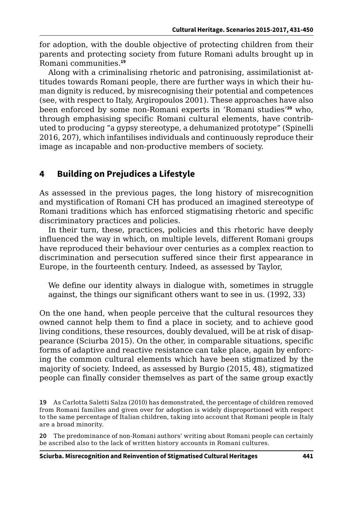for adoption, with the double objective of protecting children from their parents and protecting society from future Romani adults brought up in Romani communities.**<sup>19</sup>**

Along with a criminalising rhetoric and patronising, assimilationist attitudes towards Romani people, there are further ways in which their human dignity is reduced, by misrecognising their potential and competences (see, with respect to Italy, Argiropoulos 2001). These approaches have also been enforced by some non-Romani experts in 'Romani studies'**<sup>20</sup>** who, through emphasising specific Romani cultural elements, have contributed to producing "a gypsy stereotype, a dehumanized prototype" (Spinelli 2016, 207), which infantilises individuals and continuously reproduce their image as incapable and non-productive members of society.

## **4 Building on Prejudices a Lifestyle**

As assessed in the previous pages, the long history of misrecognition and mystification of Romani CH has produced an imagined stereotype of Romani traditions which has enforced stigmatising rhetoric and specific discriminatory practices and policies.

In their turn, these, practices, policies and this rhetoric have deeply influenced the way in which, on multiple levels, different Romani groups have reproduced their behaviour over centuries as a complex reaction to discrimination and persecution suffered since their first appearance in Europe, in the fourteenth century. Indeed, as assessed by Taylor,

We define our identity always in dialogue with, sometimes in struggle against, the things our significant others want to see in us. (1992, 33)

On the one hand, when people perceive that the cultural resources they owned cannot help them to find a place in society, and to achieve good living conditions, these resources, doubly devalued, will be at risk of disappearance (Sciurba 2015). On the other, in comparable situations, specific forms of adaptive and reactive resistance can take place, again by enforcing the common cultural elements which have been stigmatized by the majority of society. Indeed, as assessed by Burgio (2015, 48), stigmatized people can finally consider themselves as part of the same group exactly

**19** As Carlotta Saletti Salza (2010) has demonstrated, the percentage of children removed from Romani families and given over for adoption is widely disproportioned with respect to the same percentage of Italian children, taking into account that Romani people in Italy are a broad minority.

**20** The predominance of non-Romani authors' writing about Romani people can certainly be ascribed also to the lack of written history accounts in Romani cultures.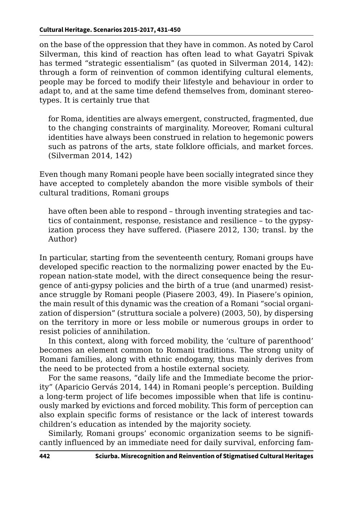on the base of the oppression that they have in common. As noted by Carol Silverman, this kind of reaction has often lead to what Gayatri Spivak has termed "strategic essentialism" (as quoted in Silverman 2014, 142): through a form of reinvention of common identifying cultural elements, people may be forced to modify their lifestyle and behaviour in order to adapt to, and at the same time defend themselves from, dominant stereotypes. It is certainly true that

for Roma, identities are always emergent, constructed, fragmented, due to the changing constraints of marginality. Moreover, Romani cultural identities have always been construed in relation to hegemonic powers such as patrons of the arts, state folklore officials, and market forces. (Silverman 2014, 142)

Even though many Romani people have been socially integrated since they have accepted to completely abandon the more visible symbols of their cultural traditions, Romani groups

have often been able to respond – through inventing strategies and tactics of containment, response, resistance and resilience – to the gypsyization process they have suffered. (Piasere 2012, 130; transl. by the Author)

In particular, starting from the seventeenth century, Romani groups have developed specific reaction to the normalizing power enacted by the European nation-state model, with the direct consequence being the resurgence of anti-gypsy policies and the birth of a true (and unarmed) resistance struggle by Romani people (Piasere 2003, 49). In Piasere's opinion, the main result of this dynamic was the creation of a Romani "social organization of dispersion" (struttura sociale a polvere) (2003, 50), by dispersing on the territory in more or less mobile or numerous groups in order to resist policies of annihilation.

In this context, along with forced mobility, the 'culture of parenthood' becomes an element common to Romani traditions. The strong unity of Romani families, along with ethnic endogamy, thus mainly derives from the need to be protected from a hostile external society.

For the same reasons, "daily life and the Immediate become the priority" (Aparicio Gervás 2014, 144) in Romani people's perception. Building a long-term project of life becomes impossible when that life is continuously marked by evictions and forced mobility. This form of perception can also explain specific forms of resistance or the lack of interest towards children's education as intended by the majority society.

Similarly, Romani groups' economic organization seems to be significantly influenced by an immediate need for daily survival, enforcing fam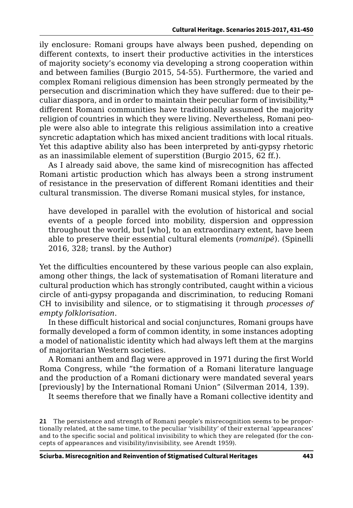ily enclosure: Romani groups have always been pushed, depending on different contexts, to insert their productive activities in the interstices of majority society's economy via developing a strong cooperation within and between families (Burgio 2015, 54-55). Furthermore, the varied and complex Romani religious dimension has been strongly permeated by the persecution and discrimination which they have suffered: due to their peculiar diaspora, and in order to maintain their peculiar form of invisibility,**<sup>21</sup>** different Romani communities have traditionally assumed the majority religion of countries in which they were living. Nevertheless, Romani people were also able to integrate this religious assimilation into a creative syncretic adaptation which has mixed ancient traditions with local rituals. Yet this adaptive ability also has been interpreted by anti-gypsy rhetoric as an inassimilable element of superstition (Burgio 2015, 62 ff.).

As I already said above, the same kind of misrecognition has affected Romani artistic production which has always been a strong instrument of resistance in the preservation of different Romani identities and their cultural transmission. The diverse Romani musical styles, for instance,

have developed in parallel with the evolution of historical and social events of a people forced into mobility, dispersion and oppression throughout the world, but [who], to an extraordinary extent, have been able to preserve their essential cultural elements (*romanipé*). (Spinelli 2016, 328; transl. by the Author)

Yet the difficulties encountered by these various people can also explain, among other things, the lack of systematisation of Romani literature and cultural production which has strongly contributed, caught within a vicious circle of anti-gypsy propaganda and discrimination, to reducing Romani CH to invisibility and silence, or to stigmatising it through *processes of empty folklorisation*.

In these difficult historical and social conjunctures, Romani groups have formally developed a form of common identity, in some instances adopting a model of nationalistic identity which had always left them at the margins of majoritarian Western societies.

A Romani anthem and flag were approved in 1971 during the first World Roma Congress, while "the formation of a Romani literature language and the production of a Romani dictionary were mandated several years [previously] by the International Romani Union" (Silverman 2014, 139).

It seems therefore that we finally have a Romani collective identity and

**21** The persistence and strength of Romani people's misrecognition seems to be proportionally related, at the same time, to the peculiar 'visibility' of their external 'appearances' and to the specific social and political invisibility to which they are relegated (for the concepts of appearances and visibility/invisibility, see Arendt 1959).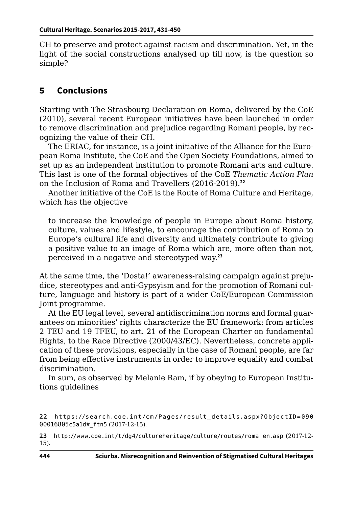CH to preserve and protect against racism and discrimination. Yet, in the light of the social constructions analysed up till now, is the question so simple?

## **5 Conclusions**

Starting with The Strasbourg Declaration on Roma, delivered by the CoE (2010), several recent European initiatives have been launched in order to remove discrimination and prejudice regarding Romani people, by recognizing the value of their CH.

The ERIAC, for instance, is a joint initiative of the Alliance for the European Roma Institute, the CoE and the Open Society Foundations, aimed to set up as an independent institution to promote Romani arts and culture. This last is one of the formal objectives of the CoE *Thematic Action Plan* on the Inclusion of Roma and Travellers (2016-2019).**<sup>22</sup>**

Another initiative of the CoE is the Route of Roma Culture and Heritage, which has the objective

to increase the knowledge of people in Europe about Roma history, culture, values and lifestyle, to encourage the contribution of Roma to Europe's cultural life and diversity and ultimately contribute to giving a positive value to an image of Roma which are, more often than not, perceived in a negative and stereotyped way.**<sup>23</sup>**

At the same time, the 'Dosta!' awareness-raising campaign against prejudice, stereotypes and anti-Gypsyism and for the promotion of Romani culture, language and history is part of a wider CoE/European Commission Joint programme.

At the EU legal level, several antidiscrimination norms and formal guarantees on minorities' rights characterize the EU framework: from articles 2 TEU and 19 TFEU, to art. 21 of the European Charter on fundamental Rights, to the Race Directive (2000/43/EC). Nevertheless, concrete application of these provisions, especially in the case of Romani people, are far from being effective instruments in order to improve equality and combat discrimination.

In sum, as observed by Melanie Ram, if by obeying to European Institutions guidelines

**23** [http://www.coe.int/t/dg4/cultureheritage/culture/routes/roma\\_en.asp](http://www.coe.int/t/dg4/cultureheritage/culture/routes/roma_en.asp) (2017-12- 15).

**<sup>22</sup>** [https://se arch.co e.int/c m/Pa g es/r esult\\_ d etails.aspx?O bjectID = 090](https://search.coe.int/cm/Pages/result_details.aspx?ObjectID=09000016805c5a1d#_ftn5) 00016805c5a1d# ftn5 (2017-12-15).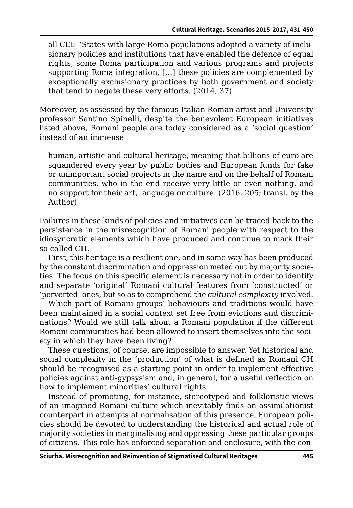all CEE "States with large Roma populations adopted a variety of inclusionary policies and institutions that have enabled the defence of equal rights, some Roma participation and various programs and projects supporting Roma integration, […] these policies are complemented by exceptionally exclusionary practices by both government and society that tend to negate these very efforts. (2014, 37)

Moreover, as assessed by the famous Italian Roman artist and University professor Santino Spinelli, despite the benevolent European initiatives listed above, Romani people are today considered as a 'social question' instead of an immense

human, artistic and cultural heritage, meaning that billions of euro are squandered every year by public bodies and European funds for fake or unimportant social projects in the name and on the behalf of Romani communities, who in the end receive very little or even nothing, and no support for their art, language or culture. (2016, 205; transl. by the Author)

Failures in these kinds of policies and initiatives can be traced back to the persistence in the misrecognition of Romani people with respect to the idiosyncratic elements which have produced and continue to mark their so-called CH.

First, this heritage is a resilient one, and in some way has been produced by the constant discrimination and oppression meted out by majority societies. The focus on this specific element is necessary not in order to identify and separate 'original' Romani cultural features from 'constructed' or 'perverted' ones, but so as to comprehend the *cultural complexity* involved.

Which part of Romani groups' behaviours and traditions would have been maintained in a social context set free from evictions and discriminations? Would we still talk about a Romani population if the different Romani communities had been allowed to insert themselves into the society in which they have been living?

These questions, of course, are impossible to answer. Yet historical and social complexity in the 'production' of what is defined as Romani CH should be recognised as a starting point in order to implement effective policies against anti-gypsysism and, in general, for a useful reflection on how to implement minorities' cultural rights.

Instead of promoting, for instance, stereotyped and folkloristic views of an imagined Romani culture which inevitably finds an assimilationist counterpart in attempts at normalisation of this presence, European policies should be devoted to understanding the historical and actual role of majority societies in marginalising and oppressing these particular groups of citizens. This role has enforced separation and enclosure, with the con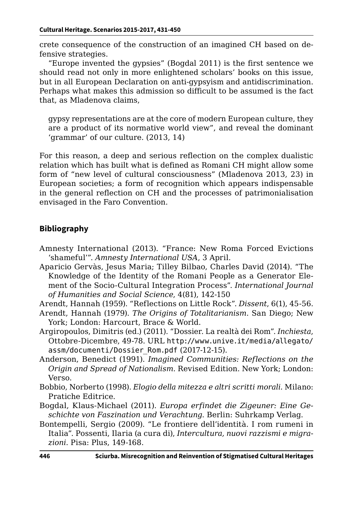crete consequence of the construction of an imagined CH based on defensive strategies.

"Europe invented the gypsies" (Bogdal 2011) is the first sentence we should read not only in more enlightened scholars' books on this issue, but in all European Declaration on anti-gypsyism and antidiscrimination. Perhaps what makes this admission so difficult to be assumed is the fact that, as Mladenova claims,

gypsy representations are at the core of modern European culture, they are a product of its normative world view", and reveal the dominant 'grammar' of our culture. (2013, 14)

For this reason, a deep and serious reflection on the complex dualistic relation which has built what is defined as Romani CH might allow some form of "new level of cultural consciousness" (Mladenova 2013, 23) in European societies; a form of recognition which appears indispensable in the general reflection on CH and the processes of patrimonialisation envisaged in the Faro Convention.

#### **Bibliography**

- Amnesty International (2013). "France: New Roma Forced Evictions 'shameful'". *Amnesty International USA*, 3 April.
- Aparicio Gervàs, Jesus Maria; Tilley Bilbao, Charles David (2014). "The Knowledge of the Identity of the Romani People as a Generator Element of the Socio-Cultural Integration Process". *International Journal of Humanities and Social Science*, 4(81), 142-150

Arendt, Hannah (1959). "Reflections on Little Rock". *Dissent*, 6(1), 45-56.

- Arendt, Hannah (1979). *The Origins of Totalitarianism*. San Diego; New York; London: Harcourt, Brace & World.
- Argiropoulos, Dimitris (ed.) (2011). "Dossier. La realtà dei Rom". *Inchiesta*, Ottobre-Dicembre, 49-78. URL [http://www.unive.it/media/allegato/](http://www.unive.it/media/allegato/assm/documenti/Dossier_Rom.pdf) [assm/documenti/Dossier\\_Rom.pdf](http://www.unive.it/media/allegato/assm/documenti/Dossier_Rom.pdf) (2017-12-15).
- Anderson, Benedict (1991). *Imagined Communities: Reflections on the Origin and Spread of Nationalism*. Revised Edition. New York; London: Verso.
- Bobbio, Norberto (1998). *Elogio della mitezza e altri scritti morali*. Milano: Pratiche Editrice.
- Bogdal, Klaus-Michael (2011). *Europa erfindet die Zigeuner: Eine Geschichte von Faszination und Verachtung*. Berlin: Suhrkamp Verlag.
- Bontempelli, Sergio (2009). "Le frontiere dell'identità. I rom rumeni in Italia". Possenti, Ilaria (a cura di), *Intercultura, nuovi razzismi e migrazioni*. Pisa: Plus, 149-168.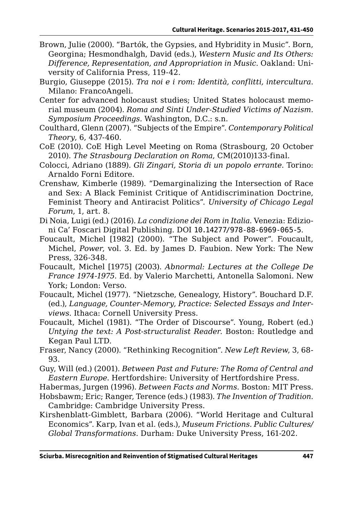- Brown, Julie (2000). "Bartók, the Gypsies, and Hybridity in Music". Born, Georgina; Hesmondhalgh, David (eds.), *Western Music and Its Others: Difference, Representation, and Appropriation in Music*. Oakland: University of California Press, 119-42.
- Burgio, Giuseppe (2015). *Tra noi e i rom: Identità, conflitti, intercultura*. Milano: FrancoAngeli.
- Center for advanced holocaust studies; United States holocaust memorial museum (2004). *Roma and Sinti Under-Studied Victims of Nazism. Symposium Proceedings*. Washington, D.C.: s.n.
- Coulthard, Glenn (2007). "Subjects of the Empire". *Contemporary Political Theory*, 6, 437-460.
- CoE (2010). CoE High Level Meeting on Roma (Strasbourg, 20 October 2010). *The Strasbourg Declaration on Roma*, CM(2010)133-final.
- Colocci, Adriano (1889). *Gli Zingari, Storia di un popolo errante*. Torino: Arnaldo Forni Editore.
- Crenshaw, Kimberle (1989). "Demarginalizing the Intersection of Race and Sex: A Black Feminist Critique of Antidiscrimination Doctrine, Feminist Theory and Antiracist Politics". *University of Chicago Legal Forum*, 1, art. 8.
- Di Noia, Luigi (ed.) (2016). *La condizione dei Rom in Italia*. Venezia: Edizioni Ca' Foscari Digital Publishing. DOI [10.14277/978-88-6969-065-5](http://doi.org/10.14277/978-88-6969-065-5).
- Foucault, Michel [1982] (2000). "The Subject and Power". Foucault, Michel, *Power*, vol. 3. Ed. by James D. Faubion. New York: The New Press, 326-348.
- Foucault, Michel [1975] (2003). *Abnormal: Lectures at the College De France 1974-1975*. Ed. by Valerio Marchetti, Antonella Salomoni. New York; London: Verso.
- Foucault, Michel (1977). "Nietzsche, Genealogy, History". Bouchard D.F. (ed.), *Language, Counter-Memory, Practice: Selected Essays and Interviews*. Ithaca: Cornell University Press.
- Foucault, Michel (1981). "The Order of Discourse". Young, Robert (ed.) *Untying the text: A Post-structuralist Reader*. Boston: Routledge and Kegan Paul LTD.
- Fraser, Nancy (2000). "Rethinking Recognition". *New Left Review*, 3, 68- 93.
- Guy, Will (ed.) (2001). *Between Past and Future: The Roma of Central and Eastern Europe*. Hertfordshire: University of Hertfordshire Press.
- Habermas, Jurgen (1996). *Between Facts and Norms*. Boston: MIT Press.
- Hobsbawm; Eric; Ranger, Terence (eds.) (1983). *The Invention of Tradition*. Cambridge: Cambridge University Press.
- Kirshenblatt-Gimblett, Barbara (2006). "World Heritage and Cultural Economics". Karp, Ivan et al. (eds.), *Museum Frictions. Public Cultures/ Global Transformations*. Durham: Duke University Press, 161-202.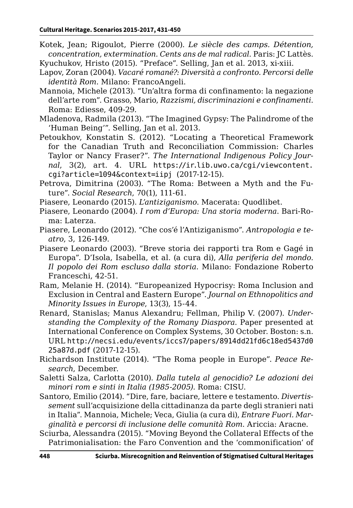- Kotek, Jean; Rigoulot, Pierre (2000). *Le siècle des camps. Détention, concentration, extermination. Cents ans de mal radical*. Paris: JC Lattès.
- Kyuchukov, Hristo (2015). "Preface". Selling, Jan et al. 2013, xi-xiii.
- Lapov, Zoran (2004). *Vacaré romané?: Diversità a confronto. Percorsi delle identità Rom*. Milano: FrancoAngeli.
- Mannoia, Michele (2013). "Un'altra forma di confinamento: la negazione dell'arte rom". Grasso, Mario, *Razzismi, discriminazioni e confinamenti*. Roma: Ediesse, 409-29.
- Mladenova, Radmila (2013). "The Imagined Gypsy: The Palindrome of the 'Human Being'". Selling, Jan et al. 2013.
- Petoukhov, Konstatin S. (2012). "Locating a Theoretical Framework for the Canadian Truth and Reconciliation Commission: Charles Taylor or Nancy Fraser?". *The International Indigenous Policy Journal*, 3(2), art. 4. URL [https://ir.lib.uwo.ca/cgi/viewcontent.](https://ir.lib.uwo.ca/cgi/viewcontent.cgi?article=1094&context=iipj) [cgi?article=1094&context=iipj](https://ir.lib.uwo.ca/cgi/viewcontent.cgi?article=1094&context=iipj) (2017-12-15).
- Petrova, Dimitrina (2003). "The Roma: Between a Myth and the Future". *Social Research*, 70(1), 111-61.
- Piasere, Leonardo (2015). *L'antiziganismo*. Macerata: Quodlibet.
- Piasere, Leonardo (2004). *I rom d'Europa: Una storia moderna*. Bari-Roma: Laterza.
- Piasere, Leonardo (2012). "Che cos'é l'Antiziganismo". *Antropologia e teatro*, 3, 126-149.
- Piasere Leonardo (2003). "Breve storia dei rapporti tra Rom e Gagé in Europa". D'Isola, Isabella, et al. (a cura di), *Alla periferia del mondo. Il popolo dei Rom escluso dalla storia*. Milano: Fondazione Roberto Franceschi, 42-51.
- Ram, Melanie H. (2014). "Europeanized Hypocrisy: Roma Inclusion and Exclusion in Central and Eastern Europe". *Journal on Ethnopolitics and Minority Issues in Europe*, 13(3), 15-44.
- Renard, Stanislas; Manus Alexandru; Fellman, Philip V. (2007). *Understanding the Complexity of the Romany Diaspora*. Paper presented at International Conference on Complex Systems, 30 October. Boston: s.n. URL [http://necsi.edu/events/iccs7/papers/8914dd21fd6c18ed5437d0](http://necsi.edu/events/iccs7/papers/8914dd21fd6c18ed5437d025a87d.pdf) [25a87d.pdf](http://necsi.edu/events/iccs7/papers/8914dd21fd6c18ed5437d025a87d.pdf) (2017-12-15).
- Richardson Institute (2014). "The Roma people in Europe". *Peace Research*, December.
- Saletti Salza, Carlotta (2010). *Dalla tutela al genocidio? Le adozioni dei minori rom e sinti in Italia (1985-2005)*. Roma: CISU.
- Santoro, Emilio (2014). "Dire, fare, baciare, lettere e testamento. *Divertissement* sull'acquisizione della cittadinanza da parte degli stranieri nati in Italia". Mannoia, Michele; Veca, Giulia (a cura di), *Entrare Fuori. Marginalità e percorsi di inclusione delle comunità Rom*. Ariccia: Aracne.
- Sciurba, Alessandra (2015). "Moving Beyond the Collateral Effects of the Patrimonialisation: the Faro Convention and the 'commonification' of